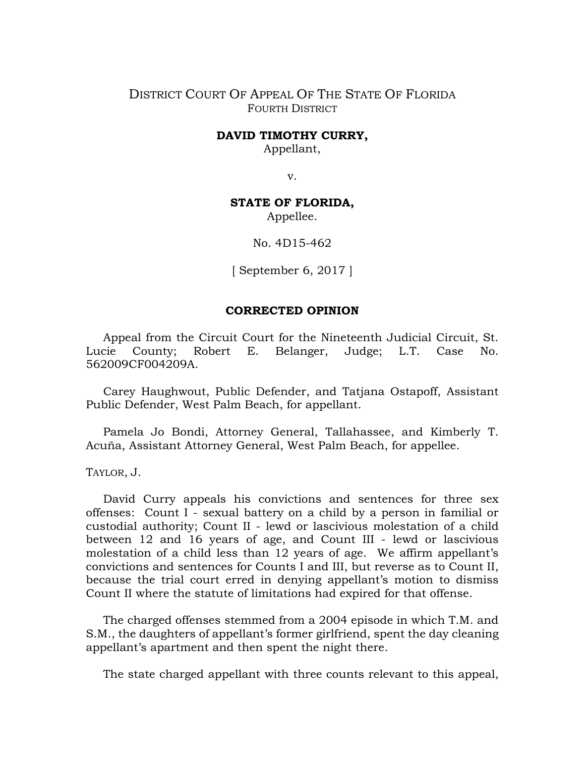## DISTRICT COURT OF APPEAL OF THE STATE OF FLORIDA FOURTH DISTRICT

## **DAVID TIMOTHY CURRY,**

Appellant,

v.

## **STATE OF FLORIDA,**

Appellee.

No. 4D15-462

[ September 6, 2017 ]

## **CORRECTED OPINION**

Appeal from the Circuit Court for the Nineteenth Judicial Circuit, St. Lucie County; Robert E. Belanger, Judge; L.T. Case No. 562009CF004209A.

Carey Haughwout, Public Defender, and Tatjana Ostapoff, Assistant Public Defender, West Palm Beach, for appellant.

Pamela Jo Bondi, Attorney General, Tallahassee, and Kimberly T. Acuña, Assistant Attorney General, West Palm Beach, for appellee.

TAYLOR, J.

David Curry appeals his convictions and sentences for three sex offenses: Count I - sexual battery on a child by a person in familial or custodial authority; Count II - lewd or lascivious molestation of a child between 12 and 16 years of age, and Count III - lewd or lascivious molestation of a child less than 12 years of age. We affirm appellant's convictions and sentences for Counts I and III, but reverse as to Count II, because the trial court erred in denying appellant's motion to dismiss Count II where the statute of limitations had expired for that offense.

The charged offenses stemmed from a 2004 episode in which T.M. and S.M., the daughters of appellant's former girlfriend, spent the day cleaning appellant's apartment and then spent the night there.

The state charged appellant with three counts relevant to this appeal,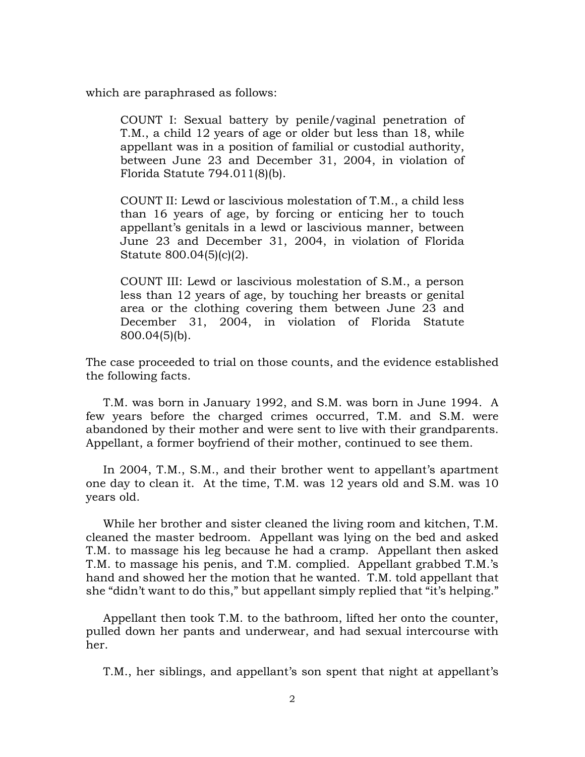which are paraphrased as follows:

COUNT I: Sexual battery by penile/vaginal penetration of T.M., a child 12 years of age or older but less than 18, while appellant was in a position of familial or custodial authority, between June 23 and December 31, 2004, in violation of Florida Statute 794.011(8)(b).

COUNT II: Lewd or lascivious molestation of T.M., a child less than 16 years of age, by forcing or enticing her to touch appellant's genitals in a lewd or lascivious manner, between June 23 and December 31, 2004, in violation of Florida Statute 800.04(5)(c)(2).

COUNT III: Lewd or lascivious molestation of S.M., a person less than 12 years of age, by touching her breasts or genital area or the clothing covering them between June 23 and December 31, 2004, in violation of Florida Statute 800.04(5)(b).

The case proceeded to trial on those counts, and the evidence established the following facts.

T.M. was born in January 1992, and S.M. was born in June 1994. A few years before the charged crimes occurred, T.M. and S.M. were abandoned by their mother and were sent to live with their grandparents. Appellant, a former boyfriend of their mother, continued to see them.

In 2004, T.M., S.M., and their brother went to appellant's apartment one day to clean it. At the time, T.M. was 12 years old and S.M. was 10 years old.

While her brother and sister cleaned the living room and kitchen, T.M. cleaned the master bedroom. Appellant was lying on the bed and asked T.M. to massage his leg because he had a cramp. Appellant then asked T.M. to massage his penis, and T.M. complied. Appellant grabbed T.M.'s hand and showed her the motion that he wanted. T.M. told appellant that she "didn't want to do this," but appellant simply replied that "it's helping."

Appellant then took T.M. to the bathroom, lifted her onto the counter, pulled down her pants and underwear, and had sexual intercourse with her.

T.M., her siblings, and appellant's son spent that night at appellant's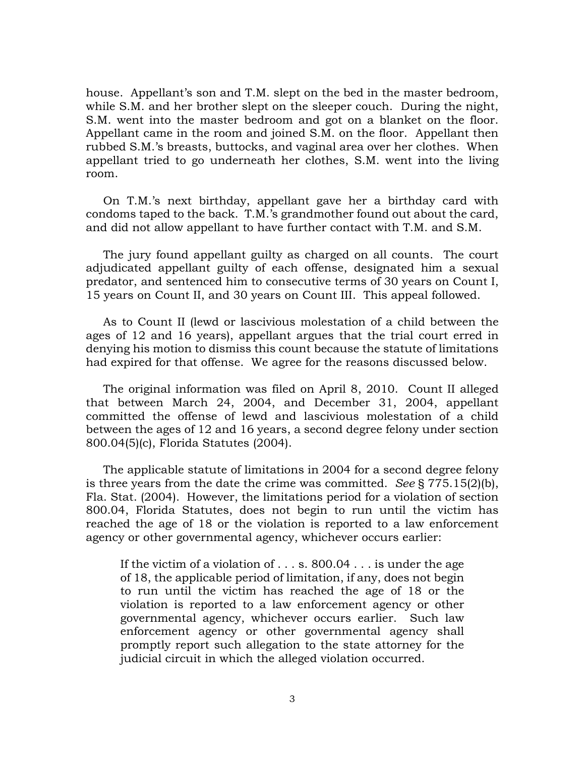house. Appellant's son and T.M. slept on the bed in the master bedroom, while S.M. and her brother slept on the sleeper couch. During the night, S.M. went into the master bedroom and got on a blanket on the floor. Appellant came in the room and joined S.M. on the floor. Appellant then rubbed S.M.'s breasts, buttocks, and vaginal area over her clothes. When appellant tried to go underneath her clothes, S.M. went into the living room.

On T.M.'s next birthday, appellant gave her a birthday card with condoms taped to the back. T.M.'s grandmother found out about the card, and did not allow appellant to have further contact with T.M. and S.M.

The jury found appellant guilty as charged on all counts. The court adjudicated appellant guilty of each offense, designated him a sexual predator, and sentenced him to consecutive terms of 30 years on Count I, 15 years on Count II, and 30 years on Count III. This appeal followed.

As to Count II (lewd or lascivious molestation of a child between the ages of 12 and 16 years), appellant argues that the trial court erred in denying his motion to dismiss this count because the statute of limitations had expired for that offense. We agree for the reasons discussed below.

The original information was filed on April 8, 2010. Count II alleged that between March 24, 2004, and December 31, 2004, appellant committed the offense of lewd and lascivious molestation of a child between the ages of 12 and 16 years, a second degree felony under section 800.04(5)(c), Florida Statutes (2004).

The applicable statute of limitations in 2004 for a second degree felony is three years from the date the crime was committed. *See* § 775.15(2)(b), Fla. Stat. (2004). However, the limitations period for a violation of section 800.04, Florida Statutes, does not begin to run until the victim has reached the age of 18 or the violation is reported to a law enforcement agency or other governmental agency, whichever occurs earlier:

If the victim of a violation of . . . s. 800.04 . . . is under the age of 18, the applicable period of limitation, if any, does not begin to run until the victim has reached the age of 18 or the violation is reported to a law enforcement agency or other governmental agency, whichever occurs earlier. Such law enforcement agency or other governmental agency shall promptly report such allegation to the state attorney for the judicial circuit in which the alleged violation occurred.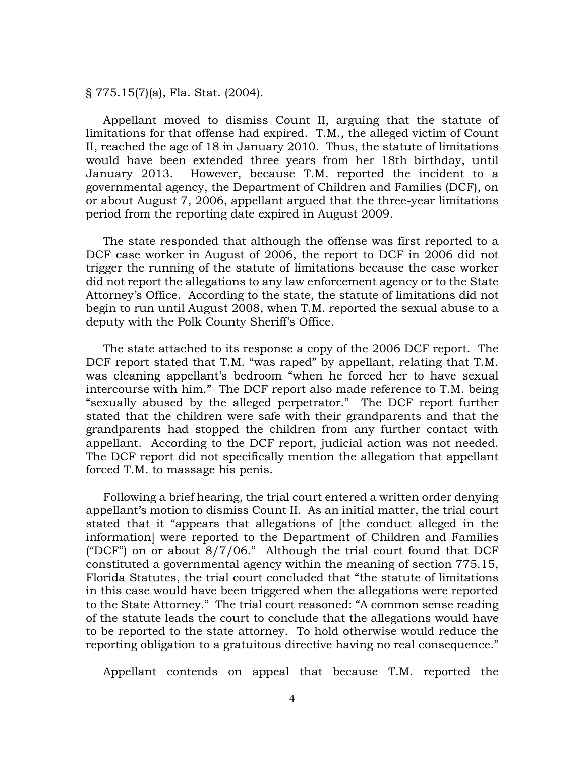§ 775.15(7)(a), Fla. Stat. (2004).

Appellant moved to dismiss Count II, arguing that the statute of limitations for that offense had expired. T.M., the alleged victim of Count II, reached the age of 18 in January 2010. Thus, the statute of limitations would have been extended three years from her 18th birthday, until January 2013. However, because T.M. reported the incident to a governmental agency, the Department of Children and Families (DCF), on or about August 7, 2006, appellant argued that the three-year limitations period from the reporting date expired in August 2009.

The state responded that although the offense was first reported to a DCF case worker in August of 2006, the report to DCF in 2006 did not trigger the running of the statute of limitations because the case worker did not report the allegations to any law enforcement agency or to the State Attorney's Office. According to the state, the statute of limitations did not begin to run until August 2008, when T.M. reported the sexual abuse to a deputy with the Polk County Sheriff's Office.

The state attached to its response a copy of the 2006 DCF report. The DCF report stated that T.M. "was raped" by appellant, relating that T.M. was cleaning appellant's bedroom "when he forced her to have sexual intercourse with him." The DCF report also made reference to T.M. being "sexually abused by the alleged perpetrator." The DCF report further stated that the children were safe with their grandparents and that the grandparents had stopped the children from any further contact with appellant. According to the DCF report, judicial action was not needed. The DCF report did not specifically mention the allegation that appellant forced T.M. to massage his penis.

Following a brief hearing, the trial court entered a written order denying appellant's motion to dismiss Count II. As an initial matter, the trial court stated that it "appears that allegations of [the conduct alleged in the information] were reported to the Department of Children and Families ("DCF") on or about  $8/7/06$ ." Although the trial court found that DCF constituted a governmental agency within the meaning of section 775.15, Florida Statutes, the trial court concluded that "the statute of limitations in this case would have been triggered when the allegations were reported to the State Attorney." The trial court reasoned: "A common sense reading of the statute leads the court to conclude that the allegations would have to be reported to the state attorney. To hold otherwise would reduce the reporting obligation to a gratuitous directive having no real consequence."

Appellant contends on appeal that because T.M. reported the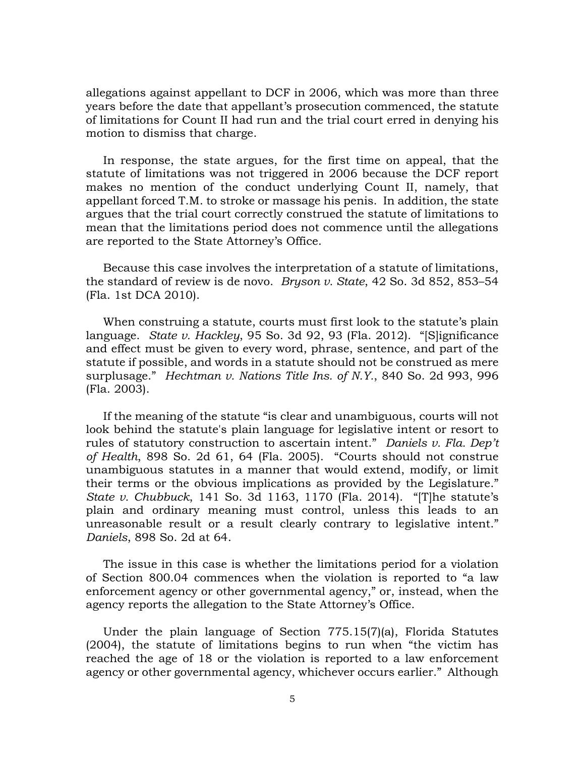allegations against appellant to DCF in 2006, which was more than three years before the date that appellant's prosecution commenced, the statute of limitations for Count II had run and the trial court erred in denying his motion to dismiss that charge.

In response, the state argues, for the first time on appeal, that the statute of limitations was not triggered in 2006 because the DCF report makes no mention of the conduct underlying Count II, namely, that appellant forced T.M. to stroke or massage his penis. In addition, the state argues that the trial court correctly construed the statute of limitations to mean that the limitations period does not commence until the allegations are reported to the State Attorney's Office.

Because this case involves the interpretation of a statute of limitations, the standard of review is de novo. *Bryson v. State*, 42 So. 3d 852, 853–54 (Fla. 1st DCA 2010).

When construing a statute, courts must first look to the statute's plain language. *State v. Hackley*, 95 So. 3d 92, 93 (Fla. 2012). "[S]ignificance and effect must be given to every word, phrase, sentence, and part of the statute if possible, and words in a statute should not be construed as mere surplusage." *Hechtman v. Nations Title Ins. of N.Y.*, 840 So. 2d 993, 996 (Fla. 2003).

If the meaning of the statute "is clear and unambiguous, courts will not look behind the statute's plain language for legislative intent or resort to rules of statutory construction to ascertain intent." *Daniels v. Fla. Dep't of Health*, 898 So. 2d 61, 64 (Fla. 2005). "Courts should not construe unambiguous statutes in a manner that would extend, modify, or limit their terms or the obvious implications as provided by the Legislature." *State v. Chubbuck*, 141 So. 3d 1163, 1170 (Fla. 2014). "[T]he statute's plain and ordinary meaning must control, unless this leads to an unreasonable result or a result clearly contrary to legislative intent." *Daniels*, 898 So. 2d at 64.

The issue in this case is whether the limitations period for a violation of Section 800.04 commences when the violation is reported to "a law enforcement agency or other governmental agency," or, instead, when the agency reports the allegation to the State Attorney's Office.

Under the plain language of Section 775.15(7)(a), Florida Statutes (2004), the statute of limitations begins to run when "the victim has reached the age of 18 or the violation is reported to a law enforcement agency or other governmental agency, whichever occurs earlier." Although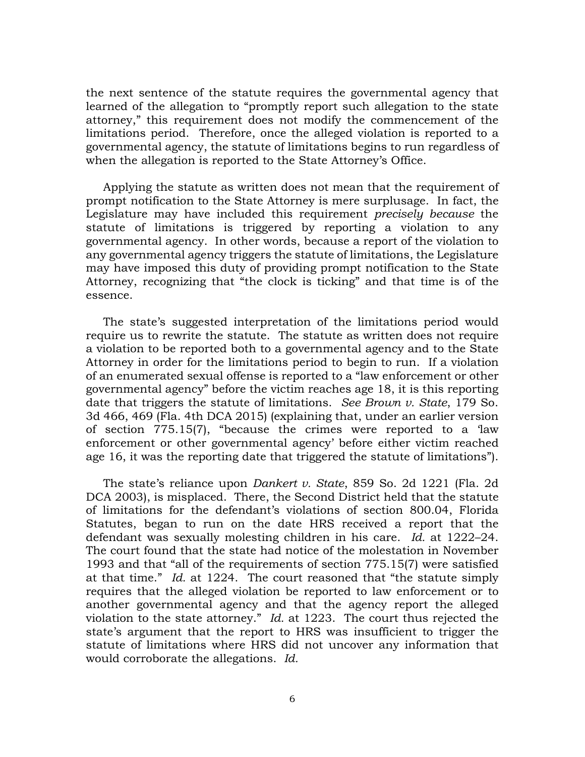the next sentence of the statute requires the governmental agency that learned of the allegation to "promptly report such allegation to the state attorney," this requirement does not modify the commencement of the limitations period. Therefore, once the alleged violation is reported to a governmental agency, the statute of limitations begins to run regardless of when the allegation is reported to the State Attorney's Office.

Applying the statute as written does not mean that the requirement of prompt notification to the State Attorney is mere surplusage. In fact, the Legislature may have included this requirement *precisely because* the statute of limitations is triggered by reporting a violation to any governmental agency. In other words, because a report of the violation to any governmental agency triggers the statute of limitations, the Legislature may have imposed this duty of providing prompt notification to the State Attorney, recognizing that "the clock is ticking" and that time is of the essence.

The state's suggested interpretation of the limitations period would require us to rewrite the statute. The statute as written does not require a violation to be reported both to a governmental agency and to the State Attorney in order for the limitations period to begin to run. If a violation of an enumerated sexual offense is reported to a "law enforcement or other governmental agency" before the victim reaches age 18, it is this reporting date that triggers the statute of limitations. *See Brown v. State*, 179 So. 3d 466, 469 (Fla. 4th DCA 2015) (explaining that, under an earlier version of section 775.15(7), "because the crimes were reported to a 'law enforcement or other governmental agency' before either victim reached age 16, it was the reporting date that triggered the statute of limitations").

The state's reliance upon *Dankert v. State*, 859 So. 2d 1221 (Fla. 2d DCA 2003), is misplaced. There, the Second District held that the statute of limitations for the defendant's violations of section 800.04, Florida Statutes, began to run on the date HRS received a report that the defendant was sexually molesting children in his care. *Id.* at 1222–24. The court found that the state had notice of the molestation in November 1993 and that "all of the requirements of section 775.15(7) were satisfied at that time." *Id.* at 1224. The court reasoned that "the statute simply requires that the alleged violation be reported to law enforcement or to another governmental agency and that the agency report the alleged violation to the state attorney." *Id.* at 1223. The court thus rejected the state's argument that the report to HRS was insufficient to trigger the statute of limitations where HRS did not uncover any information that would corroborate the allegations. *Id.*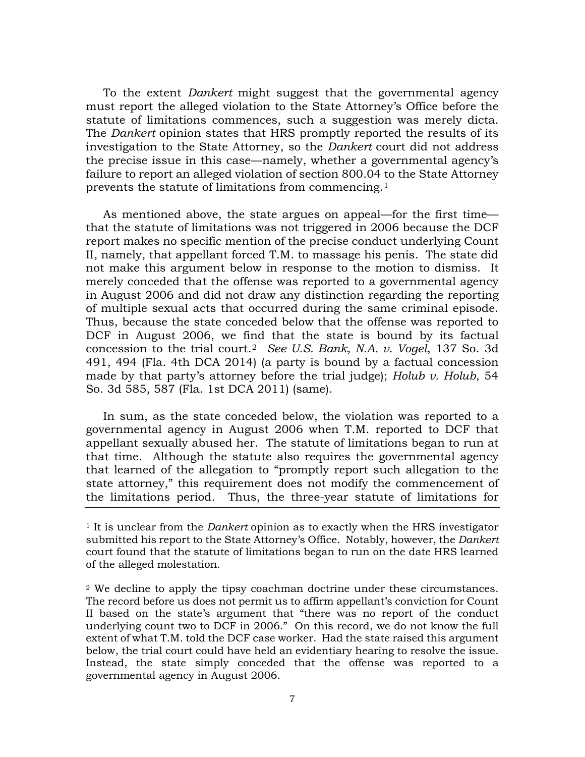To the extent *Dankert* might suggest that the governmental agency must report the alleged violation to the State Attorney's Office before the statute of limitations commences, such a suggestion was merely dicta. The *Dankert* opinion states that HRS promptly reported the results of its investigation to the State Attorney, so the *Dankert* court did not address the precise issue in this case—namely, whether a governmental agency's failure to report an alleged violation of section 800.04 to the State Attorney prevents the statute of limitations from commencing.[1](#page-6-0)

As mentioned above, the state argues on appeal—for the first time that the statute of limitations was not triggered in 2006 because the DCF report makes no specific mention of the precise conduct underlying Count II, namely, that appellant forced T.M. to massage his penis. The state did not make this argument below in response to the motion to dismiss. It merely conceded that the offense was reported to a governmental agency in August 2006 and did not draw any distinction regarding the reporting of multiple sexual acts that occurred during the same criminal episode. Thus, because the state conceded below that the offense was reported to DCF in August 2006, we find that the state is bound by its factual concession to the trial court.[2](#page-6-1) *See U.S. Bank, N.A. v. Vogel*, 137 So. 3d 491, 494 (Fla. 4th DCA 2014) (a party is bound by a factual concession made by that party's attorney before the trial judge); *Holub v. Holub*, 54 So. 3d 585, 587 (Fla. 1st DCA 2011) (same).

In sum, as the state conceded below, the violation was reported to a governmental agency in August 2006 when T.M. reported to DCF that appellant sexually abused her. The statute of limitations began to run at that time. Although the statute also requires the governmental agency that learned of the allegation to "promptly report such allegation to the state attorney," this requirement does not modify the commencement of the limitations period. Thus, the three-year statute of limitations for

<span id="page-6-0"></span><sup>1</sup> It is unclear from the *Dankert* opinion as to exactly when the HRS investigator submitted his report to the State Attorney's Office. Notably, however, the *Dankert* court found that the statute of limitations began to run on the date HRS learned of the alleged molestation.

<span id="page-6-1"></span><sup>2</sup> We decline to apply the tipsy coachman doctrine under these circumstances. The record before us does not permit us to affirm appellant's conviction for Count II based on the state's argument that "there was no report of the conduct underlying count two to DCF in 2006." On this record, we do not know the full extent of what T.M. told the DCF case worker. Had the state raised this argument below, the trial court could have held an evidentiary hearing to resolve the issue. Instead, the state simply conceded that the offense was reported to a governmental agency in August 2006.